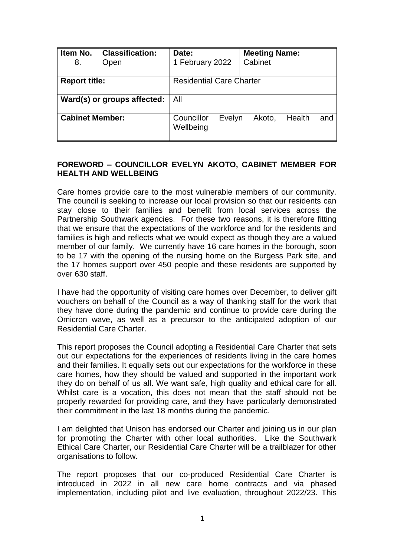| Item No.<br>8.              | <b>Classification:</b><br><b>Open</b> | Date:<br>1 February 2022        |        | <b>Meeting Name:</b><br>Cabinet |        |     |
|-----------------------------|---------------------------------------|---------------------------------|--------|---------------------------------|--------|-----|
| <b>Report title:</b>        |                                       | <b>Residential Care Charter</b> |        |                                 |        |     |
| Ward(s) or groups affected: |                                       | All                             |        |                                 |        |     |
| <b>Cabinet Member:</b>      |                                       | Councillor<br>Wellbeing         | Evelyn | Akoto,                          | Health | and |

### **FOREWORD – COUNCILLOR EVELYN AKOTO, CABINET MEMBER FOR HEALTH AND WELLBEING**

Care homes provide care to the most vulnerable members of our community. The council is seeking to increase our local provision so that our residents can stay close to their families and benefit from local services across the Partnership Southwark agencies. For these two reasons, it is therefore fitting that we ensure that the expectations of the workforce and for the residents and families is high and reflects what we would expect as though they are a valued member of our family. We currently have 16 care homes in the borough, soon to be 17 with the opening of the nursing home on the Burgess Park site, and the 17 homes support over 450 people and these residents are supported by over 630 staff.

I have had the opportunity of visiting care homes over December, to deliver gift vouchers on behalf of the Council as a way of thanking staff for the work that they have done during the pandemic and continue to provide care during the Omicron wave, as well as a precursor to the anticipated adoption of our Residential Care Charter.

This report proposes the Council adopting a Residential Care Charter that sets out our expectations for the experiences of residents living in the care homes and their families. It equally sets out our expectations for the workforce in these care homes, how they should be valued and supported in the important work they do on behalf of us all. We want safe, high quality and ethical care for all. Whilst care is a vocation, this does not mean that the staff should not be properly rewarded for providing care, and they have particularly demonstrated their commitment in the last 18 months during the pandemic.

I am delighted that Unison has endorsed our Charter and joining us in our plan for promoting the Charter with other local authorities. Like the Southwark Ethical Care Charter, our Residential Care Charter will be a trailblazer for other organisations to follow.

The report proposes that our co-produced Residential Care Charter is introduced in 2022 in all new care home contracts and via phased implementation, including pilot and live evaluation, throughout 2022/23. This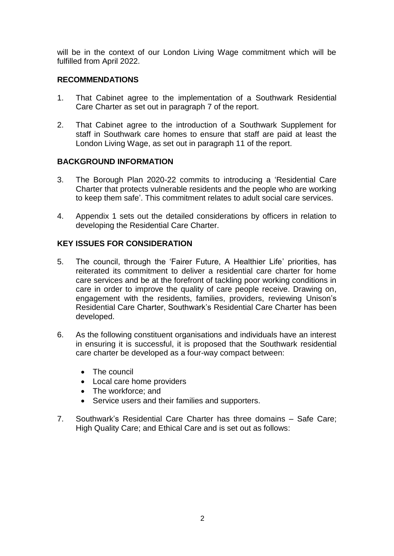will be in the context of our London Living Wage commitment which will be fulfilled from April 2022.

#### **RECOMMENDATIONS**

- 1. That Cabinet agree to the implementation of a Southwark Residential Care Charter as set out in paragraph 7 of the report.
- 2. That Cabinet agree to the introduction of a Southwark Supplement for staff in Southwark care homes to ensure that staff are paid at least the London Living Wage, as set out in paragraph 11 of the report.

## **BACKGROUND INFORMATION**

- 3. The Borough Plan 2020-22 commits to introducing a 'Residential Care Charter that protects vulnerable residents and the people who are working to keep them safe'. This commitment relates to adult social care services.
- 4. Appendix 1 sets out the detailed considerations by officers in relation to developing the Residential Care Charter.

## **KEY ISSUES FOR CONSIDERATION**

- 5. The council, through the 'Fairer Future, A Healthier Life' priorities, has reiterated its commitment to deliver a residential care charter for home care services and be at the forefront of tackling poor working conditions in care in order to improve the quality of care people receive. Drawing on, engagement with the residents, families, providers, reviewing Unison's Residential Care Charter, Southwark's Residential Care Charter has been developed.
- 6. As the following constituent organisations and individuals have an interest in ensuring it is successful, it is proposed that the Southwark residential care charter be developed as a four-way compact between:
	- The council
	- Local care home providers
	- The workforce; and
	- Service users and their families and supporters.
- 7. Southwark's Residential Care Charter has three domains Safe Care; High Quality Care; and Ethical Care and is set out as follows: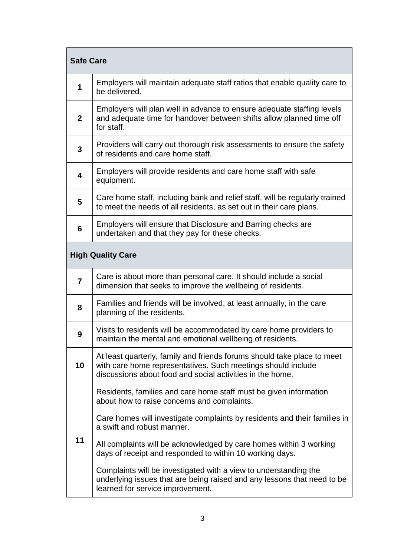| <b>Safe Care</b>         |                                                                                                                                                                                                      |  |  |
|--------------------------|------------------------------------------------------------------------------------------------------------------------------------------------------------------------------------------------------|--|--|
| 1                        | Employers will maintain adequate staff ratios that enable quality care to<br>be delivered.                                                                                                           |  |  |
| $\overline{2}$           | Employers will plan well in advance to ensure adequate staffing levels<br>and adequate time for handover between shifts allow planned time off<br>for staff.                                         |  |  |
| $\mathbf{3}$             | Providers will carry out thorough risk assessments to ensure the safety<br>of residents and care home staff.                                                                                         |  |  |
| $\overline{\mathbf{4}}$  | Employers will provide residents and care home staff with safe<br>equipment.                                                                                                                         |  |  |
| 5                        | Care home staff, including bank and relief staff, will be regularly trained<br>to meet the needs of all residents, as set out in their care plans.                                                   |  |  |
| $6\phantom{1}6$          | Employers will ensure that Disclosure and Barring checks are<br>undertaken and that they pay for these checks.                                                                                       |  |  |
| <b>High Quality Care</b> |                                                                                                                                                                                                      |  |  |
| $\overline{7}$           | Care is about more than personal care. It should include a social<br>dimension that seeks to improve the wellbeing of residents.                                                                     |  |  |
| 8                        | Families and friends will be involved, at least annually, in the care<br>planning of the residents.                                                                                                  |  |  |
| 9                        | Visits to residents will be accommodated by care home providers to<br>maintain the mental and emotional wellbeing of residents.                                                                      |  |  |
| 10                       | At least quarterly, family and friends forums should take place to meet<br>with care home representatives. Such meetings should include<br>discussions about food and social activities in the home. |  |  |
|                          | Residents, families and care home staff must be given information<br>about how to raise concerns and complaints.                                                                                     |  |  |
| 11                       | Care homes will investigate complaints by residents and their families in<br>a swift and robust manner.                                                                                              |  |  |
|                          | All complaints will be acknowledged by care homes within 3 working<br>days of receipt and responded to within 10 working days.                                                                       |  |  |
|                          | Complaints will be investigated with a view to understanding the<br>underlying issues that are being raised and any lessons that need to be<br>learned for service improvement.                      |  |  |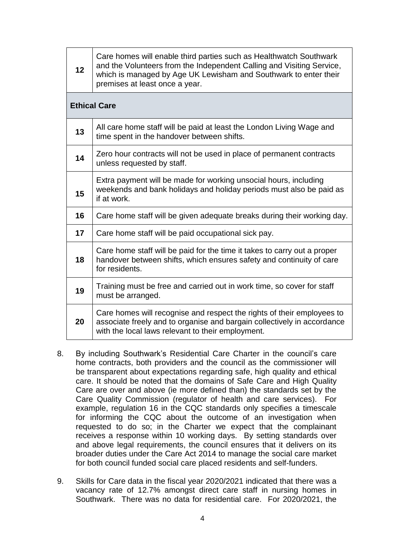| 12 | Care homes will enable third parties such as Healthwatch Southwark<br>and the Volunteers from the Independent Calling and Visiting Service,<br>which is managed by Age UK Lewisham and Southwark to enter their<br>premises at least once a year. |
|----|---------------------------------------------------------------------------------------------------------------------------------------------------------------------------------------------------------------------------------------------------|
|    | <b>Ethical Care</b>                                                                                                                                                                                                                               |
| 13 | All care home staff will be paid at least the London Living Wage and<br>time spent in the handover between shifts.                                                                                                                                |
| 14 | Zero hour contracts will not be used in place of permanent contracts<br>unless requested by staff.                                                                                                                                                |
| 15 | Extra payment will be made for working unsocial hours, including<br>weekends and bank holidays and holiday periods must also be paid as<br>if at work.                                                                                            |
| 16 | Care home staff will be given adequate breaks during their working day.                                                                                                                                                                           |
| 17 | Care home staff will be paid occupational sick pay.                                                                                                                                                                                               |
| 18 | Care home staff will be paid for the time it takes to carry out a proper<br>handover between shifts, which ensures safety and continuity of care<br>for residents.                                                                                |
| 19 | Training must be free and carried out in work time, so cover for staff<br>must be arranged.                                                                                                                                                       |
| 20 | Care homes will recognise and respect the rights of their employees to<br>associate freely and to organise and bargain collectively in accordance<br>with the local laws relevant to their employment.                                            |

- 8. By including Southwark's Residential Care Charter in the council's care home contracts, both providers and the council as the commissioner will be transparent about expectations regarding safe, high quality and ethical care. It should be noted that the domains of Safe Care and High Quality Care are over and above (ie more defined than) the standards set by the Care Quality Commission (regulator of health and care services). For example, regulation 16 in the CQC standards only specifies a timescale for informing the CQC about the outcome of an investigation when requested to do so; in the Charter we expect that the complainant receives a response within 10 working days. By setting standards over and above legal requirements, the council ensures that it delivers on its broader duties under the Care Act 2014 to manage the social care market for both council funded social care placed residents and self-funders.
- 9. Skills for Care data in the fiscal year 2020/2021 indicated that there was a vacancy rate of 12.7% amongst direct care staff in nursing homes in Southwark. There was no data for residential care. For 2020/2021, the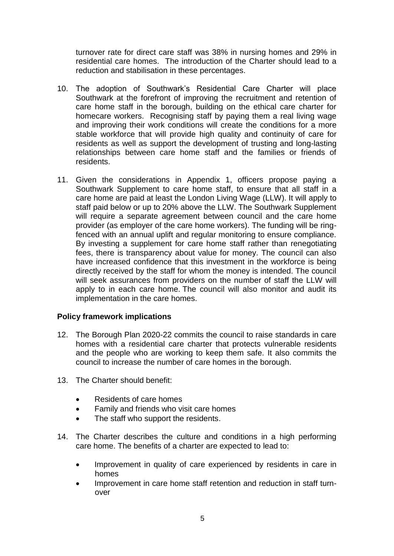turnover rate for direct care staff was 38% in nursing homes and 29% in residential care homes. The introduction of the Charter should lead to a reduction and stabilisation in these percentages.

- 10. The adoption of Southwark's Residential Care Charter will place Southwark at the forefront of improving the recruitment and retention of care home staff in the borough, building on the ethical care charter for homecare workers. Recognising staff by paying them a real living wage and improving their work conditions will create the conditions for a more stable workforce that will provide high quality and continuity of care for residents as well as support the development of trusting and long-lasting relationships between care home staff and the families or friends of residents.
- 11. Given the considerations in Appendix 1, officers propose paying a Southwark Supplement to care home staff, to ensure that all staff in a care home are paid at least the London Living Wage (LLW). It will apply to staff paid below or up to 20% above the LLW. The Southwark Supplement will require a separate agreement between council and the care home provider (as employer of the care home workers). The funding will be ringfenced with an annual uplift and regular monitoring to ensure compliance. By investing a supplement for care home staff rather than renegotiating fees, there is transparency about value for money. The council can also have increased confidence that this investment in the workforce is being directly received by the staff for whom the money is intended. The council will seek assurances from providers on the number of staff the LLW will apply to in each care home. The council will also monitor and audit its implementation in the care homes.

#### **Policy framework implications**

- 12. The Borough Plan 2020-22 commits the council to raise standards in care homes with a residential care charter that protects vulnerable residents and the people who are working to keep them safe. It also commits the council to increase the number of care homes in the borough.
- 13. The Charter should benefit:
	- Residents of care homes
	- Family and friends who visit care homes
	- The staff who support the residents.
- 14. The Charter describes the culture and conditions in a high performing care home. The benefits of a charter are expected to lead to:
	- Improvement in quality of care experienced by residents in care in homes
	- Improvement in care home staff retention and reduction in staff turnover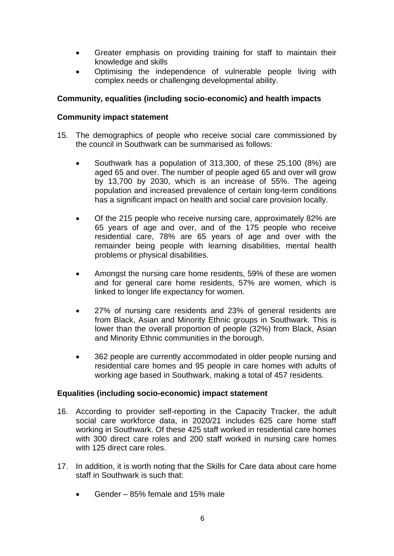- Greater emphasis on providing training for staff to maintain their knowledge and skills
- Optimising the independence of vulnerable people living with complex needs or challenging developmental ability.

## **Community, equalities (including socio-economic) and health impacts**

#### **Community impact statement**

- 15. The demographics of people who receive social care commissioned by the council in Southwark can be summarised as follows:
	- Southwark has a population of 313,300, of these 25,100 (8%) are aged 65 and over. The number of people aged 65 and over will grow by 13,700 by 2030, which is an increase of 55%. The ageing population and increased prevalence of certain long-term conditions has a significant impact on health and social care provision locally.
	- Of the 215 people who receive nursing care, approximately 82% are 65 years of age and over, and of the 175 people who receive residential care, 78% are 65 years of age and over with the remainder being people with learning disabilities, mental health problems or physical disabilities.
	- Amongst the nursing care home residents, 59% of these are women and for general care home residents, 57% are women, which is linked to longer life expectancy for women.
	- 27% of nursing care residents and 23% of general residents are from Black, Asian and Minority Ethnic groups in Southwark. This is lower than the overall proportion of people (32%) from Black, Asian and Minority Ethnic communities in the borough.
	- 362 people are currently accommodated in older people nursing and residential care homes and 95 people in care homes with adults of working age based in Southwark, making a total of 457 residents.

#### **Equalities (including socio-economic) impact statement**

- 16. According to provider self-reporting in the Capacity Tracker, the adult social care workforce data, in 2020/21 includes 625 care home staff working in Southwark. Of these 425 staff worked in residential care homes with 300 direct care roles and 200 staff worked in nursing care homes with 125 direct care roles.
- 17. In addition, it is worth noting that the Skills for Care data about care home staff in Southwark is such that:
	- Gender 85% female and 15% male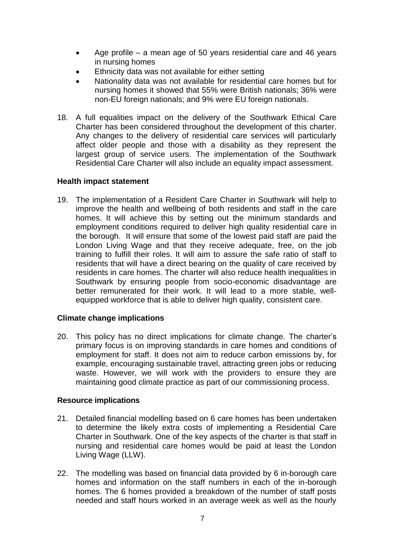- Age profile a mean age of 50 years residential care and 46 years in nursing homes
- Ethnicity data was not available for either setting
- Nationality data was not available for residential care homes but for nursing homes it showed that 55% were British nationals; 36% were non-EU foreign nationals; and 9% were EU foreign nationals.
- 18. A full equalities impact on the delivery of the Southwark Ethical Care Charter has been considered throughout the development of this charter. Any changes to the delivery of residential care services will particularly affect older people and those with a disability as they represent the largest group of service users. The implementation of the Southwark Residential Care Charter will also include an equality impact assessment.

#### **Health impact statement**

19. The implementation of a Resident Care Charter in Southwark will help to improve the health and wellbeing of both residents and staff in the care homes. It will achieve this by setting out the minimum standards and employment conditions required to deliver high quality residential care in the borough. It will ensure that some of the lowest paid staff are paid the London Living Wage and that they receive adequate, free, on the job training to fulfill their roles. It will aim to assure the safe ratio of staff to residents that will have a direct bearing on the quality of care received by residents in care homes. The charter will also reduce health inequalities in Southwark by ensuring people from socio-economic disadvantage are better remunerated for their work. It will lead to a more stable, wellequipped workforce that is able to deliver high quality, consistent care.

#### **Climate change implications**

20. This policy has no direct implications for climate change. The charter's primary focus is on improving standards in care homes and conditions of employment for staff. It does not aim to reduce carbon emissions by, for example, encouraging sustainable travel, attracting green jobs or reducing waste. However, we will work with the providers to ensure they are maintaining good climate practice as part of our commissioning process.

#### **Resource implications**

- 21. Detailed financial modelling based on 6 care homes has been undertaken to determine the likely extra costs of implementing a Residential Care Charter in Southwark. One of the key aspects of the charter is that staff in nursing and residential care homes would be paid at least the London Living Wage (LLW).
- 22. The modelling was based on financial data provided by 6 in-borough care homes and information on the staff numbers in each of the in-borough homes. The 6 homes provided a breakdown of the number of staff posts needed and staff hours worked in an average week as well as the hourly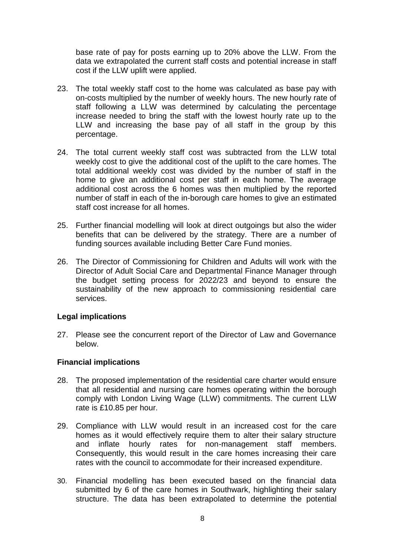base rate of pay for posts earning up to 20% above the LLW. From the data we extrapolated the current staff costs and potential increase in staff cost if the LLW uplift were applied.

- 23. The total weekly staff cost to the home was calculated as base pay with on-costs multiplied by the number of weekly hours. The new hourly rate of staff following a LLW was determined by calculating the percentage increase needed to bring the staff with the lowest hourly rate up to the LLW and increasing the base pay of all staff in the group by this percentage.
- 24. The total current weekly staff cost was subtracted from the LLW total weekly cost to give the additional cost of the uplift to the care homes. The total additional weekly cost was divided by the number of staff in the home to give an additional cost per staff in each home. The average additional cost across the 6 homes was then multiplied by the reported number of staff in each of the in-borough care homes to give an estimated staff cost increase for all homes.
- 25. Further financial modelling will look at direct outgoings but also the wider benefits that can be delivered by the strategy. There are a number of funding sources available including Better Care Fund monies.
- 26. The Director of Commissioning for Children and Adults will work with the Director of Adult Social Care and Departmental Finance Manager through the budget setting process for 2022/23 and beyond to ensure the sustainability of the new approach to commissioning residential care services.

#### **Legal implications**

27. Please see the concurrent report of the Director of Law and Governance below.

#### **Financial implications**

- 28. The proposed implementation of the residential care charter would ensure that all residential and nursing care homes operating within the borough comply with London Living Wage (LLW) commitments. The current LLW rate is £10.85 per hour.
- 29. Compliance with LLW would result in an increased cost for the care homes as it would effectively require them to alter their salary structure and inflate hourly rates for non-management staff members. Consequently, this would result in the care homes increasing their care rates with the council to accommodate for their increased expenditure.
- 30. Financial modelling has been executed based on the financial data submitted by 6 of the care homes in Southwark, highlighting their salary structure. The data has been extrapolated to determine the potential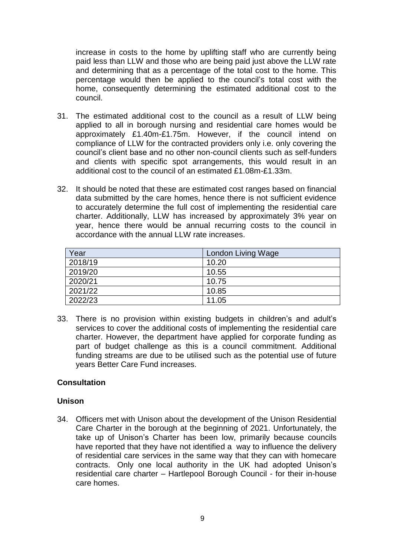increase in costs to the home by uplifting staff who are currently being paid less than LLW and those who are being paid just above the LLW rate and determining that as a percentage of the total cost to the home. This percentage would then be applied to the council's total cost with the home, consequently determining the estimated additional cost to the council.

- 31. The estimated additional cost to the council as a result of LLW being applied to all in borough nursing and residential care homes would be approximately £1.40m-£1.75m. However, if the council intend on compliance of LLW for the contracted providers only i.e. only covering the council's client base and no other non-council clients such as self-funders and clients with specific spot arrangements, this would result in an additional cost to the council of an estimated £1.08m-£1.33m.
- 32. It should be noted that these are estimated cost ranges based on financial data submitted by the care homes, hence there is not sufficient evidence to accurately determine the full cost of implementing the residential care charter. Additionally, LLW has increased by approximately 3% year on year, hence there would be annual recurring costs to the council in accordance with the annual LLW rate increases.

| Year    | London Living Wage |
|---------|--------------------|
| 2018/19 | 10.20              |
| 2019/20 | 10.55              |
| 2020/21 | 10.75              |
| 2021/22 | 10.85              |
| 2022/23 | 11.05              |

33. There is no provision within existing budgets in children's and adult's services to cover the additional costs of implementing the residential care charter. However, the department have applied for corporate funding as part of budget challenge as this is a council commitment. Additional funding streams are due to be utilised such as the potential use of future years Better Care Fund increases.

#### **Consultation**

#### **Unison**

34. Officers met with Unison about the development of the Unison Residential Care Charter in the borough at the beginning of 2021. Unfortunately, the take up of Unison's Charter has been low, primarily because councils have reported that they have not identified a way to influence the delivery of residential care services in the same way that they can with homecare contracts. Only one local authority in the UK had adopted Unison's residential care charter – Hartlepool Borough Council - for their in-house care homes.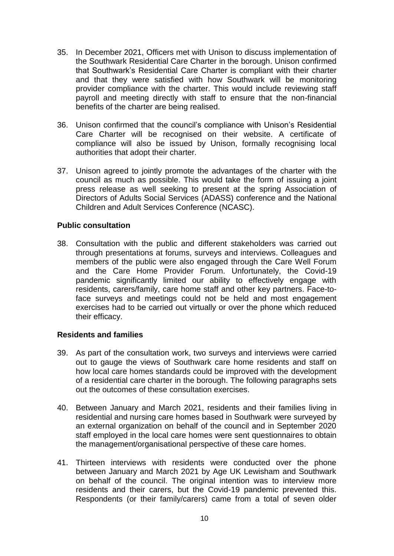- 35. In December 2021, Officers met with Unison to discuss implementation of the Southwark Residential Care Charter in the borough. Unison confirmed that Southwark's Residential Care Charter is compliant with their charter and that they were satisfied with how Southwark will be monitoring provider compliance with the charter. This would include reviewing staff payroll and meeting directly with staff to ensure that the non-financial benefits of the charter are being realised.
- 36. Unison confirmed that the council's compliance with Unison's Residential Care Charter will be recognised on their website. A certificate of compliance will also be issued by Unison, formally recognising local authorities that adopt their charter.
- 37. Unison agreed to jointly promote the advantages of the charter with the council as much as possible. This would take the form of issuing a joint press release as well seeking to present at the spring Association of Directors of Adults Social Services (ADASS) conference and the National Children and Adult Services Conference (NCASC).

#### **Public consultation**

38. Consultation with the public and different stakeholders was carried out through presentations at forums, surveys and interviews. Colleagues and members of the public were also engaged through the Care Well Forum and the Care Home Provider Forum. Unfortunately, the Covid-19 pandemic significantly limited our ability to effectively engage with residents, carers/family, care home staff and other key partners. Face-toface surveys and meetings could not be held and most engagement exercises had to be carried out virtually or over the phone which reduced their efficacy.

#### **Residents and families**

- 39. As part of the consultation work, two surveys and interviews were carried out to gauge the views of Southwark care home residents and staff on how local care homes standards could be improved with the development of a residential care charter in the borough. The following paragraphs sets out the outcomes of these consultation exercises.
- 40. Between January and March 2021, residents and their families living in residential and nursing care homes based in Southwark were surveyed by an external organization on behalf of the council and in September 2020 staff employed in the local care homes were sent questionnaires to obtain the management/organisational perspective of these care homes.
- 41. Thirteen interviews with residents were conducted over the phone between January and March 2021 by Age UK Lewisham and Southwark on behalf of the council. The original intention was to interview more residents and their carers, but the Covid-19 pandemic prevented this. Respondents (or their family/carers) came from a total of seven older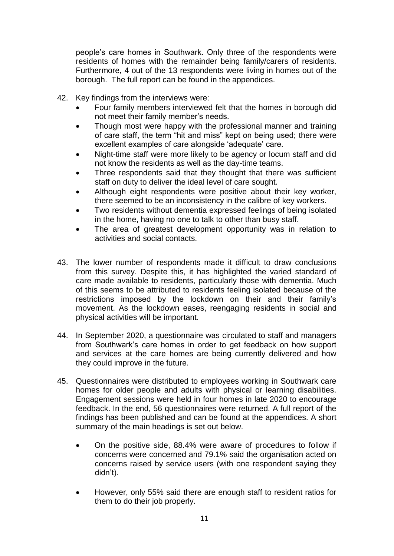people's care homes in Southwark. Only three of the respondents were residents of homes with the remainder being family/carers of residents. Furthermore, 4 out of the 13 respondents were living in homes out of the borough. The full report can be found in the appendices.

- 42. Key findings from the interviews were:
	- Four family members interviewed felt that the homes in borough did not meet their family member's needs.
	- Though most were happy with the professional manner and training of care staff, the term "hit and miss" kept on being used; there were excellent examples of care alongside 'adequate' care.
	- Night-time staff were more likely to be agency or locum staff and did not know the residents as well as the day-time teams.
	- Three respondents said that they thought that there was sufficient staff on duty to deliver the ideal level of care sought.
	- Although eight respondents were positive about their key worker, there seemed to be an inconsistency in the calibre of key workers.
	- Two residents without dementia expressed feelings of being isolated in the home, having no one to talk to other than busy staff.
	- The area of greatest development opportunity was in relation to activities and social contacts.
- 43. The lower number of respondents made it difficult to draw conclusions from this survey. Despite this, it has highlighted the varied standard of care made available to residents, particularly those with dementia. Much of this seems to be attributed to residents feeling isolated because of the restrictions imposed by the lockdown on their and their family's movement. As the lockdown eases, reengaging residents in social and physical activities will be important.
- 44. In September 2020, a questionnaire was circulated to staff and managers from Southwark's care homes in order to get feedback on how support and services at the care homes are being currently delivered and how they could improve in the future.
- 45. Questionnaires were distributed to employees working in Southwark care homes for older people and adults with physical or learning disabilities. Engagement sessions were held in four homes in late 2020 to encourage feedback. In the end, 56 questionnaires were returned. A full report of the findings has been published and can be found at the appendices. A short summary of the main headings is set out below.
	- On the positive side, 88.4% were aware of procedures to follow if concerns were concerned and 79.1% said the organisation acted on concerns raised by service users (with one respondent saying they didn't).
	- However, only 55% said there are enough staff to resident ratios for them to do their job properly.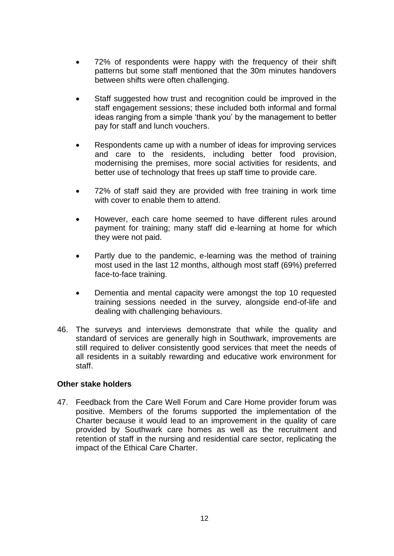- 72% of respondents were happy with the frequency of their shift patterns but some staff mentioned that the 30m minutes handovers between shifts were often challenging.
- Staff suggested how trust and recognition could be improved in the staff engagement sessions; these included both informal and formal ideas ranging from a simple 'thank you' by the management to better pay for staff and lunch vouchers.
- Respondents came up with a number of ideas for improving services and care to the residents, including better food provision, modernising the premises, more social activities for residents, and better use of technology that frees up staff time to provide care.
- 72% of staff said they are provided with free training in work time with cover to enable them to attend.
- However, each care home seemed to have different rules around payment for training; many staff did e-learning at home for which they were not paid.
- Partly due to the pandemic, e-learning was the method of training most used in the last 12 months, although most staff (69%) preferred face-to-face training.
- Dementia and mental capacity were amongst the top 10 requested training sessions needed in the survey, alongside end-of-life and dealing with challenging behaviours.
- 46. The surveys and interviews demonstrate that while the quality and standard of services are generally high in Southwark, improvements are still required to deliver consistently good services that meet the needs of all residents in a suitably rewarding and educative work environment for staff.

#### **Other stake holders**

47. Feedback from the Care Well Forum and Care Home provider forum was positive. Members of the forums supported the implementation of the Charter because it would lead to an improvement in the quality of care provided by Southwark care homes as well as the recruitment and retention of staff in the nursing and residential care sector, replicating the impact of the Ethical Care Charter.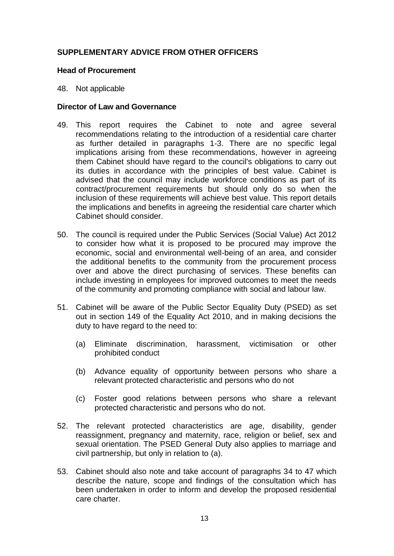## **SUPPLEMENTARY ADVICE FROM OTHER OFFICERS**

#### **Head of Procurement**

48. Not applicable

#### **Director of Law and Governance**

- 49. This report requires the Cabinet to note and agree several recommendations relating to the introduction of a residential care charter as further detailed in paragraphs 1-3. There are no specific legal implications arising from these recommendations, however in agreeing them Cabinet should have regard to the council's obligations to carry out its duties in accordance with the principles of best value. Cabinet is advised that the council may include workforce conditions as part of its contract/procurement requirements but should only do so when the inclusion of these requirements will achieve best value. This report details the implications and benefits in agreeing the residential care charter which Cabinet should consider.
- 50. The council is required under the Public Services (Social Value) Act 2012 to consider how what it is proposed to be procured may improve the economic, social and environmental well-being of an area, and consider the additional benefits to the community from the procurement process over and above the direct purchasing of services. These benefits can include investing in employees for improved outcomes to meet the needs of the community and promoting compliance with social and labour law.
- 51. Cabinet will be aware of the Public Sector Equality Duty (PSED) as set out in section 149 of the Equality Act 2010, and in making decisions the duty to have regard to the need to:
	- (a) Eliminate discrimination, harassment, victimisation or other prohibited conduct
	- (b) Advance equality of opportunity between persons who share a relevant protected characteristic and persons who do not
	- (c) Foster good relations between persons who share a relevant protected characteristic and persons who do not.
- 52. The relevant protected characteristics are age, disability, gender reassignment, pregnancy and maternity, race, religion or belief, sex and sexual orientation. The PSED General Duty also applies to marriage and civil partnership, but only in relation to (a).
- 53. Cabinet should also note and take account of paragraphs 34 to 47 which describe the nature, scope and findings of the consultation which has been undertaken in order to inform and develop the proposed residential care charter.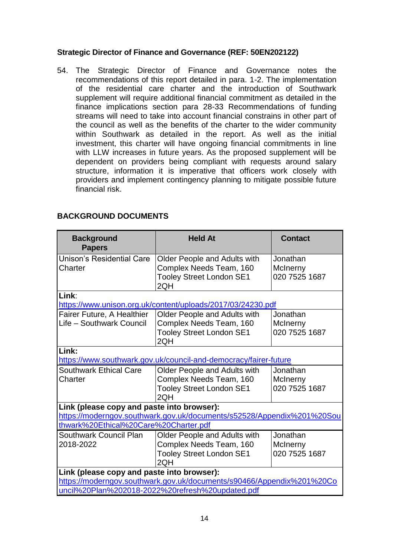## **Strategic Director of Finance and Governance (REF: 50EN202122)**

54. The Strategic Director of Finance and Governance notes the recommendations of this report detailed in para. 1-2. The implementation of the residential care charter and the introduction of Southwark supplement will require additional financial commitment as detailed in the finance implications section para 28-33 Recommendations of funding streams will need to take into account financial constrains in other part of the council as well as the benefits of the charter to the wider community within Southwark as detailed in the report. As well as the initial investment, this charter will have ongoing financial commitments in line with LLW increases in future years. As the proposed supplement will be dependent on providers being compliant with requests around salary structure, information it is imperative that officers work closely with providers and implement contingency planning to mitigate possible future financial risk.

## **BACKGROUND DOCUMENTS**

| <b>Background</b><br><b>Papers</b>                                                                                                                                      | <b>Held At</b>                                                                                    | <b>Contact</b>                        |  |
|-------------------------------------------------------------------------------------------------------------------------------------------------------------------------|---------------------------------------------------------------------------------------------------|---------------------------------------|--|
| <b>Unison's Residential Care</b><br>Charter                                                                                                                             | Older People and Adults with<br>Complex Needs Team, 160<br><b>Tooley Street London SE1</b><br>2QH | Jonathan<br>McInerny<br>020 7525 1687 |  |
| Link:                                                                                                                                                                   | https://www.unison.org.uk/content/uploads/2017/03/24230.pdf                                       |                                       |  |
| Fairer Future, A Healthier<br>Life - Southwark Council                                                                                                                  | Older People and Adults with<br>Complex Needs Team, 160<br><b>Tooley Street London SE1</b><br>2QH | Jonathan<br>McInerny<br>020 7525 1687 |  |
| Link:<br>https://www.southwark.gov.uk/council-and-democracy/fairer-future                                                                                               |                                                                                                   |                                       |  |
| <b>Southwark Ethical Care</b><br>Charter                                                                                                                                | Older People and Adults with<br>Complex Needs Team, 160<br><b>Tooley Street London SE1</b><br>2QH | Jonathan<br>McInerny<br>020 7525 1687 |  |
| Link (please copy and paste into browser):                                                                                                                              |                                                                                                   |                                       |  |
| https://moderngov.southwark.gov.uk/documents/s52528/Appendix%201%20Sou<br>thwark%20Ethical%20Care%20Charter.pdf                                                         |                                                                                                   |                                       |  |
| Southwark Council Plan<br>2018-2022                                                                                                                                     | Older People and Adults with<br>Complex Needs Team, 160<br><b>Tooley Street London SE1</b><br>2QH | Jonathan<br>McInerny<br>020 7525 1687 |  |
| Link (please copy and paste into browser):<br>https://moderngov.southwark.gov.uk/documents/s90466/Appendix%201%20Co<br>uncil%20Plan%202018-2022%20refresh%20updated.pdf |                                                                                                   |                                       |  |